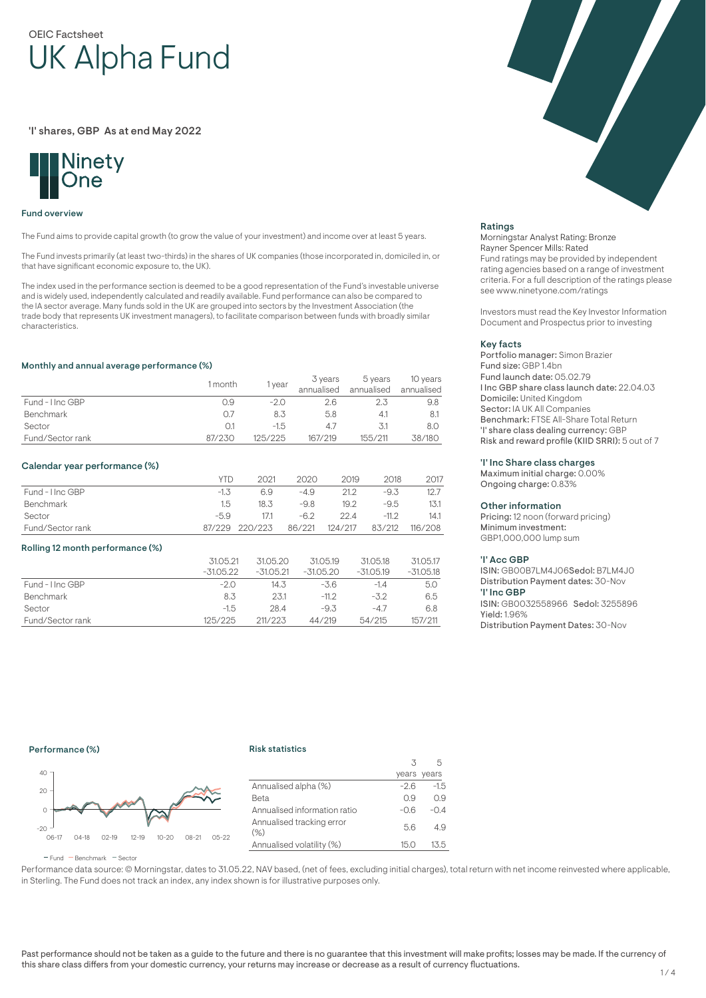# OEIC Factsheet UK Alpha Fund

'I' shares, GBP As at end May 2022



### Fund overview

The Fund aims to provide capital growth (to grow the value of your investment) and income over at least 5 years.

The Fund invests primarily (at least two-thirds) in the shares of UK companies (those incorporated in, domiciled in, or that have significant economic exposure to, the UK).

The index used in the performance section is deemed to be a good representation of the Fund's investable universe and is widely used, independently calculated and readily available. Fund performance can also be compared to the IA sector average. Many funds sold in the UK are grouped into sectors by the Investment Association (the trade body that represents UK investment managers), to facilitate comparison between funds with broadly similar characteristics.

### Monthly and annual average performance (%)

|                  | 1 month | year    | 3 years<br>annualised | 5 years<br>annualised | 10 years<br>annualised |
|------------------|---------|---------|-----------------------|-----------------------|------------------------|
| Fund - Hnc GBP   | 0.9     | $-2.0$  | 2.6                   |                       | 9.8                    |
| <b>Benchmark</b> | 0.7     | 8.3     | 5.8                   | 4.1                   |                        |
| Sector           |         | $-1.5$  |                       | 3.1                   | 8.0                    |
| Fund/Sector rank | 87/230  | 125/225 | 167/219               | 155/211               | 38/180                 |

### Calendar year performance (%)

|                  | YTD.   | 2021           | 2020   | 2019    | 2018    | 2017    |
|------------------|--------|----------------|--------|---------|---------|---------|
| Fund - I Inc GBP | $-1.5$ | 6.9            | -4.9   | 21.2    | $-9.3$  | 12.7    |
| Benchmark        | 1.5    | 18.3           | -9.8   | 19.2    | -9.5    | 13.1    |
| Sector           | $-59$  | 17.1           | $-62$  | 22.4    | $-11.2$ | 14.1    |
| Fund/Sector rank |        | 87/229 220/223 | 86/221 | 124/217 | 83/212  | 116/208 |

#### Rolling 12 month performance (%)

|                  | 31.05.21<br>$-31.05.22$ | 31.05.20<br>$-31.05.21$ | 31.05.19<br>$-31.05.20$ | 31.05.18<br>$-31.05.19$ | 31.05.17<br>$-31.05.18$ |
|------------------|-------------------------|-------------------------|-------------------------|-------------------------|-------------------------|
| Fund - Hnc GBP   | $-2.0$                  | 14.3                    | $-3.6$                  | $-1.4$                  | 5.0                     |
| Benchmark        | 8.3                     | 23.1                    | $-11.2$                 | $-3.2$                  | 6.5                     |
| Sector           | $-1.5$                  | 28.4                    | $-9.3$                  | $-4.7$                  | 6.8                     |
| Fund/Sector rank | 125/225                 | 211/223                 | 44/219                  | 54/215                  | 157/211                 |

Ratings

Morningstar Analyst Rating: Bronze Rayner Spencer Mills: Rated Fund ratings may be provided by independent rating agencies based on a range of investment criteria. For a full description of the ratings please see www.ninetyone.com/ratings

Investors must read the Key Investor Information Document and Prospectus prior to investing

#### Key facts

Portfolio manager: Simon Brazier Fund size: GBP 1.4bn Fund launch date: 05.02.79 I Inc GBP share class launch date: 22.04.03 Domicile: United Kingdom Sector: IA UK All Companies Benchmark: FTSE All-Share Total Return 'I' share class dealing currency: GBP Risk and reward profile (KIID SRRI): 5 out of 7

### 'I' Inc Share class charges

Maximum initial charge: 0.00% Ongoing charge: 0.83%

#### Other information

Pricing: 12 noon (forward pricing) Minimum investment: GBP1,000,000 lump sum

#### 'I' Acc GBP

ISIN: GB00B7LM4J06Sedol: B7LM4J0 Distribution Payment dates: 30-Nov 'I' Inc GBP ISIN: GB0032558966 Sedol: 3255896 Yield: 1.96% Distribution Payment Dates: 30-Nov

# Performance (%)

### Risk statistics



|                                     |        | years years |
|-------------------------------------|--------|-------------|
| Annualised alpha (%)                | $-2.6$ | $-1.5$      |
| Beta                                | 0.9    | 0.9         |
| Annualised information ratio        | $-0.6$ | $-0.4$      |
| Annualised tracking error<br>$(\%)$ | 5.6    | 4.9         |
| Annualised volatility (%)           | 15.O   | 13.5        |
|                                     |        |             |

 $\overline{\mathbf{3}}$ 

5

 $F$ und  $B$ Benchmark  $F$ Sector

Performance data source: © Morningstar, dates to 31.05.22, NAV based, (net of fees, excluding initial charges), total return with net income reinvested where applicable, in Sterling. The Fund does not track an index, any index shown is for illustrative purposes only.

Past performance should not be taken as a guide to the future and there is no guarantee that this investment will make profits; losses may be made. If the currency of this share class differs from your domestic currency, your returns may increase or decrease as a result of currency fluctuations.

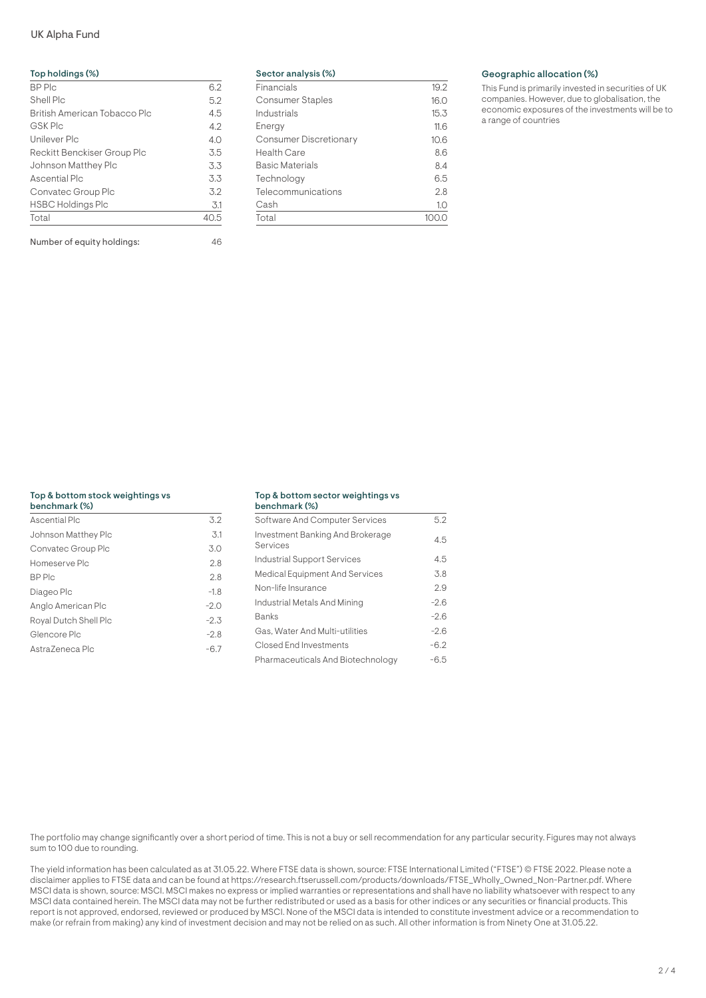# UK Alpha Fund

| Top holdings (%)             |      |
|------------------------------|------|
| <b>BP</b> Plc                | 6.2  |
| Shell Plc                    | 5.2  |
| British American Tobacco Plc | 4.5  |
| <b>GSK Plc</b>               | 4.2  |
| Unilever Plc                 | 4.0  |
| Reckitt Benckiser Group Plc  | 3.5  |
| Johnson Matthey Plc          | 3.3  |
| Ascential Plc                | 3.3  |
| Convatec Group Plc           | 32   |
| <b>HSBC Holdings Plc</b>     | 3.1  |
| Total                        | 40.5 |

Number of equity holdings: 46

| Sector analysis (%)           |      |
|-------------------------------|------|
| Financials                    | 19.2 |
| <b>Consumer Staples</b>       | 16.0 |
| Industrials                   | 15.3 |
| Energy                        | 11.6 |
| <b>Consumer Discretionary</b> | 10.6 |
| <b>Health Care</b>            | 8.6  |
| <b>Basic Materials</b>        | 8.4  |
| Technology                    | 6.5  |
| Telecommunications            | 2.8  |
| Cash                          | 1.0  |
| Total                         |      |

### Geographic allocation (%)

This Fund is primarily invested in securities of UK companies. However, due to globalisation, the economic exposures of the investments will be to a range of countries

# Top & bottom stock weightings vs

| benchmark (%)         |        |
|-----------------------|--------|
| Ascential Plc         | 3.2    |
| Johnson Matthey Plc   | 3.1    |
| Convatec Group Plc    | 3.0    |
| Homeserve Plc         | 2.8    |
| BP Plc                | 2.8    |
| Diageo Plc            | $-1.8$ |
| Anglo American Plc    | $-2.0$ |
| Royal Dutch Shell Plc | $-2.3$ |
| Glencore Plc          | $-2.8$ |
| AstraZeneca Plc       | $-6.7$ |
|                       |        |

#### Top & bottom sector weightings vs  $b = 10$

| <b>Delicitiidik (76)</b>                     |        |
|----------------------------------------------|--------|
| Software And Computer Services               | 5.2    |
| Investment Banking And Brokerage<br>Services | 4.5    |
| Industrial Support Services                  | 4.5    |
| Medical Equipment And Services               | 3.8    |
| Non-life Insurance                           | 2.9    |
| Industrial Metals And Mining                 | $-2.6$ |
| Banks                                        | $-2.6$ |
| Gas. Water And Multi-utilities               | $-2.6$ |
| Closed End Investments                       | $-6.2$ |
| Pharmaceuticals And Biotechnology            | -6.5   |

The portfolio may change significantly over a short period of time. This is not a buy or sell recommendation for any particular security. Figures may not always sum to 100 due to rounding.

The yield information has been calculated as at 31.05.22. Where FTSE data is shown, source: FTSE International Limited ("FTSE") © FTSE 2022. Please note a disclaimer applies to FTSE data and can be found at https://research.ftserussell.com/products/downloads/FTSE\_Wholly\_Owned\_Non-Partner.pdf. Where MSCI data is shown, source: MSCI. MSCI makes no express or implied warranties or representations and shall have no liability whatsoever with respect to any MSCI data contained herein. The MSCI data may not be further redistributed or used as a basis for other indices or any securities or financial products. This report is not approved, endorsed, reviewed or produced by MSCI. None of the MSCI data is intended to constitute investment advice or a recommendation to make (or refrain from making) any kind of investment decision and may not be relied on as such. All other information is from Ninety One at 31.05.22.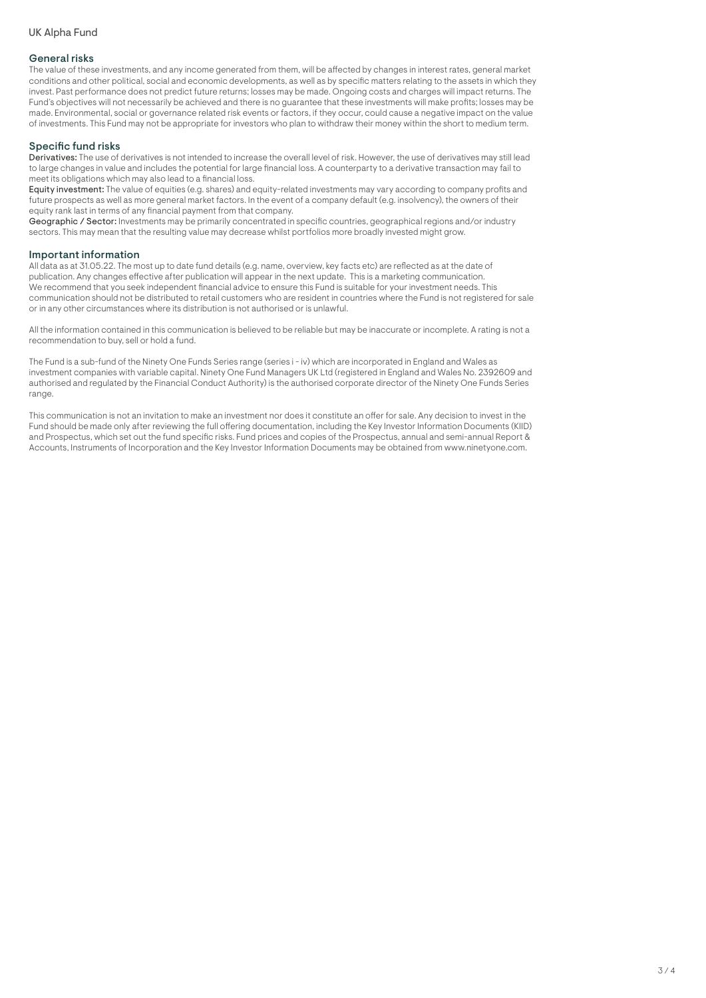### General risks

The value of these investments, and any income generated from them, will be affected by changes in interest rates, general market conditions and other political, social and economic developments, as well as by specific matters relating to the assets in which they invest. Past performance does not predict future returns; losses may be made. Ongoing costs and charges will impact returns. The Fund's objectives will not necessarily be achieved and there is no guarantee that these investments will make profits; losses may be made. Environmental, social or governance related risk events or factors, if they occur, could cause a negative impact on the value of investments. This Fund may not be appropriate for investors who plan to withdraw their money within the short to medium term.

## Specific fund risks

Derivatives: The use of derivatives is not intended to increase the overall level of risk. However, the use of derivatives may still lead to large changes in value and includes the potential for large financial loss. A counterparty to a derivative transaction may fail to meet its obligations which may also lead to a financial loss.

Equity investment: The value of equities (e.g. shares) and equity-related investments may vary according to company profits and future prospects as well as more general market factors. In the event of a company default (e.g. insolvency), the owners of their equity rank last in terms of any financial payment from that company.

Geographic / Sector: Investments may be primarily concentrated in specific countries, geographical regions and/or industry sectors. This may mean that the resulting value may decrease whilst portfolios more broadly invested might grow.

### Important information

All data as at 31.05.22. The most up to date fund details (e.g. name, overview, key facts etc) are reflected as at the date of publication. Any changes effective after publication will appear in the next update. This is a marketing communication. We recommend that you seek independent financial advice to ensure this Fund is suitable for your investment needs. This communication should not be distributed to retail customers who are resident in countries where the Fund is not registered for sale or in any other circumstances where its distribution is not authorised or is unlawful.

All the information contained in this communication is believed to be reliable but may be inaccurate or incomplete. A rating is not a recommendation to buy, sell or hold a fund.

The Fund is a sub-fund of the Ninety One Funds Series range (series i - iv) which are incorporated in England and Wales as investment companies with variable capital. Ninety One Fund Managers UK Ltd (registered in England and Wales No. 2392609 and authorised and regulated by the Financial Conduct Authority) is the authorised corporate director of the Ninety One Funds Series range.

This communication is not an invitation to make an investment nor does it constitute an offer for sale. Any decision to invest in the Fund should be made only after reviewing the full offering documentation, including the Key Investor Information Documents (KIID) and Prospectus, which set out the fund specific risks. Fund prices and copies of the Prospectus, annual and semi-annual Report & Accounts, Instruments of Incorporation and the Key Investor Information Documents may be obtained from www.ninetyone.com.